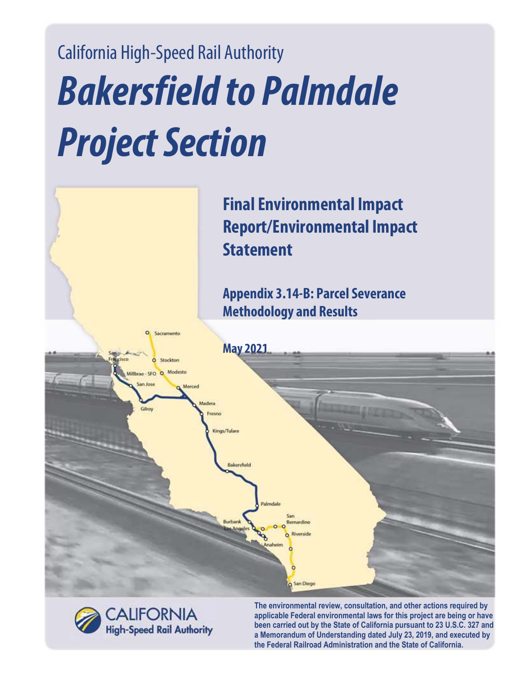# California High-Speed Rail Authority *Bakersfield to Palmdale Project Section*



**Appendix 3.14-B: Parcel Severance Methodology and Results** 





**The environmental review, consultation, and other actions required by applicable Federal environmental laws for this project are being or have been carried out by the State of California pursuant to 23 U.S.C. 327 and a Memorandum of Understanding dated July 23, 2019, and executed by the Federal Railroad Administration and the State of California.**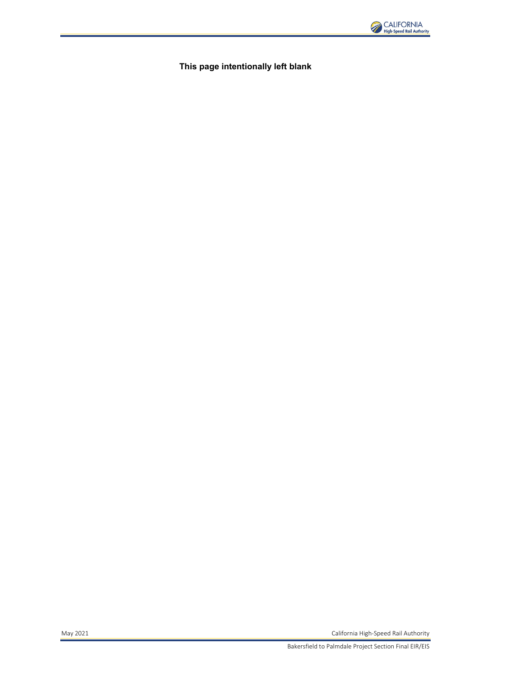

**This page intentionally left blank** 

May 2021 California High‐Speed Rail Authority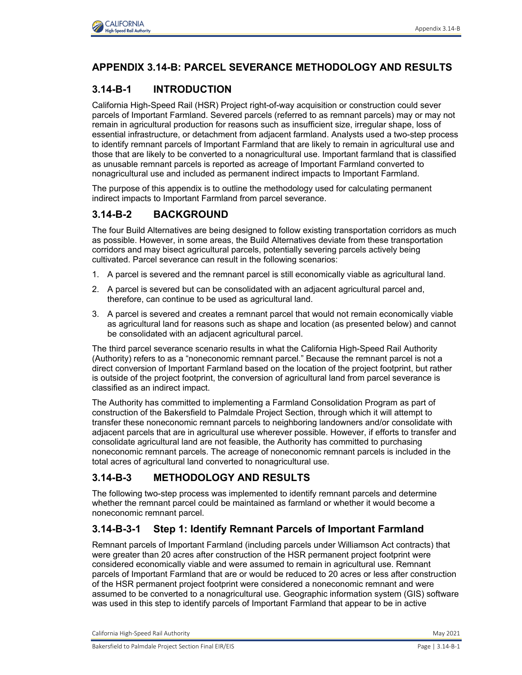

## **APPENDIX 3.14-B: PARCEL SEVERANCE METHODOLOGY AND RESULTS**

# **3.14-B-1 INTRODUCTION**

California High-Speed Rail (HSR) Project right-of-way acquisition or construction could sever parcels of Important Farmland. Severed parcels (referred to as remnant parcels) may or may not remain in agricultural production for reasons such as insufficient size, irregular shape, loss of essential infrastructure, or detachment from adjacent farmland. Analysts used a two-step process to identify remnant parcels of Important Farmland that are likely to remain in agricultural use and those that are likely to be converted to a nonagricultural use. Important farmland that is classified as unusable remnant parcels is reported as acreage of Important Farmland converted to nonagricultural use and included as permanent indirect impacts to Important Farmland.

The purpose of this appendix is to outline the methodology used for calculating permanent indirect impacts to Important Farmland from parcel severance.

## **3.14-B-2 BACKGROUND**

The four Build Alternatives are being designed to follow existing transportation corridors as much as possible. However, in some areas, the Build Alternatives deviate from these transportation corridors and may bisect agricultural parcels, potentially severing parcels actively being cultivated. Parcel severance can result in the following scenarios:

- 1. A parcel is severed and the remnant parcel is still economically viable as agricultural land.
- 2. A parcel is severed but can be consolidated with an adjacent agricultural parcel and, therefore, can continue to be used as agricultural land.
- 3. A parcel is severed and creates a remnant parcel that would not remain economically viable as agricultural land for reasons such as shape and location (as presented below) and cannot be consolidated with an adjacent agricultural parcel.

The third parcel severance scenario results in what the California High-Speed Rail Authority (Authority) refers to as a "noneconomic remnant parcel." Because the remnant parcel is not a direct conversion of Important Farmland based on the location of the project footprint, but rather is outside of the project footprint, the conversion of agricultural land from parcel severance is classified as an indirect impact.

The Authority has committed to implementing a Farmland Consolidation Program as part of construction of the Bakersfield to Palmdale Project Section, through which it will attempt to transfer these noneconomic remnant parcels to neighboring landowners and/or consolidate with adjacent parcels that are in agricultural use wherever possible. However, if efforts to transfer and consolidate agricultural land are not feasible, the Authority has committed to purchasing noneconomic remnant parcels. The acreage of noneconomic remnant parcels is included in the total acres of agricultural land converted to nonagricultural use.

## **3.14-B-3 METHODOLOGY AND RESULTS**

The following two-step process was implemented to identify remnant parcels and determine whether the remnant parcel could be maintained as farmland or whether it would become a noneconomic remnant parcel.

#### **3.14-B-3-1 Step 1: Identify Remnant Parcels of Important Farmland**

Remnant parcels of Important Farmland (including parcels under Williamson Act contracts) that were greater than 20 acres after construction of the HSR permanent project footprint were considered economically viable and were assumed to remain in agricultural use. Remnant parcels of Important Farmland that are or would be reduced to 20 acres or less after construction of the HSR permanent project footprint were considered a noneconomic remnant and were assumed to be converted to a nonagricultural use. Geographic information system (GIS) software was used in this step to identify parcels of Important Farmland that appear to be in active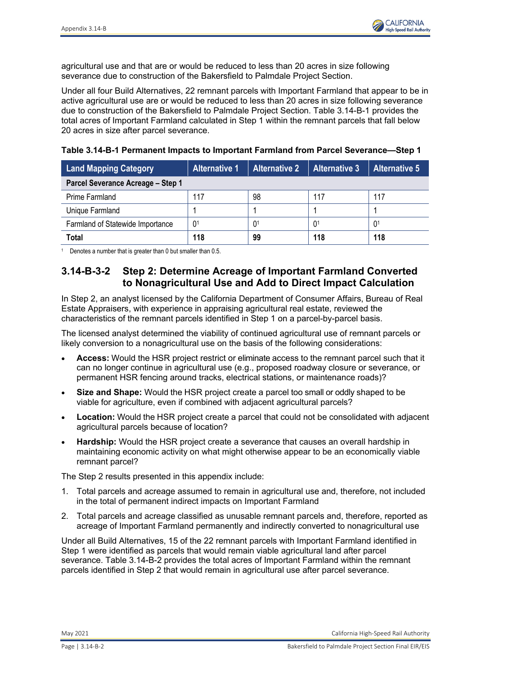

agricultural use and that are or would be reduced to less than 20 acres in size following severance due to construction of the Bakersfield to Palmdale Project Section.

Under all four Build Alternatives, 22 remnant parcels with Important Farmland that appear to be in active agricultural use are or would be reduced to less than 20 acres in size following severance due to construction of the Bakersfield to Palmdale Project Section. Table 3.14-B-1 provides the total acres of Important Farmland calculated in Step 1 within the remnant parcels that fall below 20 acres in size after parcel severance.

| <b>Land Mapping Category</b>      | <b>Alternative 1</b> | <b>Alternative 2</b> | Alternative 3        | <b>Alternative 5</b> |  |  |  |
|-----------------------------------|----------------------|----------------------|----------------------|----------------------|--|--|--|
| Parcel Severance Acreage - Step 1 |                      |                      |                      |                      |  |  |  |
| Prime Farmland                    | 117                  | 98                   | 117                  | 117                  |  |  |  |
| Unique Farmland                   |                      |                      |                      |                      |  |  |  |
| Farmland of Statewide Importance  | 0 <sup>1</sup>       | 0 <sup>1</sup>       | $\mathbf{0}^{\cdot}$ | 0 <sup>1</sup>       |  |  |  |
| Total                             | 118                  | 99                   | 118                  | 118                  |  |  |  |

**Table 3.14-B-1 Permanent Impacts to Important Farmland from Parcel Severance—Step 1** 

1 Denotes a number that is greater than 0 but smaller than 0.5.

#### **3.14-B-3-2 Step 2: Determine Acreage of Important Farmland Converted to Nonagricultural Use and Add to Direct Impact Calculation**

In Step 2, an analyst licensed by the California Department of Consumer Affairs, Bureau of Real Estate Appraisers, with experience in appraising agricultural real estate, reviewed the characteristics of the remnant parcels identified in Step 1 on a parcel-by-parcel basis.

The licensed analyst determined the viability of continued agricultural use of remnant parcels or likely conversion to a nonagricultural use on the basis of the following considerations:

- **Access:** Would the HSR project restrict or eliminate access to the remnant parcel such that it can no longer continue in agricultural use (e.g., proposed roadway closure or severance, or permanent HSR fencing around tracks, electrical stations, or maintenance roads)?
- **Size and Shape:** Would the HSR project create a parcel too small or oddly shaped to be viable for agriculture, even if combined with adjacent agricultural parcels?
- **Location:** Would the HSR project create a parcel that could not be consolidated with adjacent agricultural parcels because of location?
- **Hardship:** Would the HSR project create a severance that causes an overall hardship in maintaining economic activity on what might otherwise appear to be an economically viable remnant parcel?

The Step 2 results presented in this appendix include:

- 1. Total parcels and acreage assumed to remain in agricultural use and, therefore, not included in the total of permanent indirect impacts on Important Farmland
- 2. Total parcels and acreage classified as unusable remnant parcels and, therefore, reported as acreage of Important Farmland permanently and indirectly converted to nonagricultural use

Under all Build Alternatives, 15 of the 22 remnant parcels with Important Farmland identified in Step 1 were identified as parcels that would remain viable agricultural land after parcel severance. Table 3.14-B-2 provides the total acres of Important Farmland within the remnant parcels identified in Step 2 that would remain in agricultural use after parcel severance.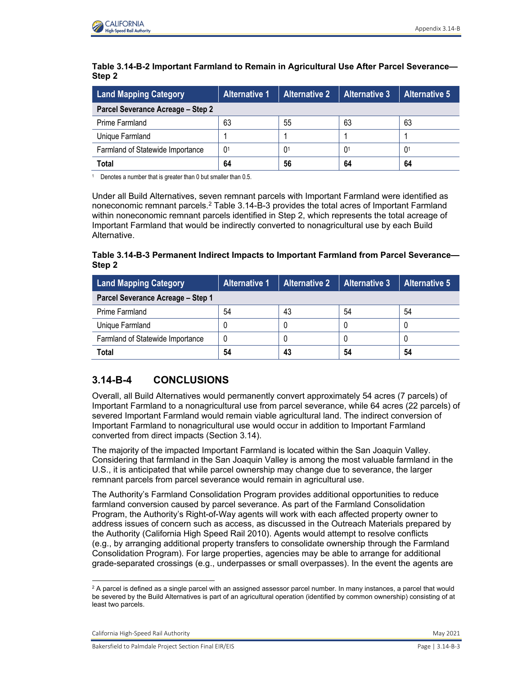

#### **Table 3.14-B-2 Important Farmland to Remain in Agricultural Use After Parcel Severance— Step 2**

| <b>Land Mapping Category</b>      | <b>Alternative 1</b> | <b>Alternative 2</b> | <b>Alternative 3</b> | <b>Alternative 5</b> |  |  |  |
|-----------------------------------|----------------------|----------------------|----------------------|----------------------|--|--|--|
| Parcel Severance Acreage - Step 2 |                      |                      |                      |                      |  |  |  |
| Prime Farmland                    | 63                   | 55                   | 63                   | 63                   |  |  |  |
| Unique Farmland                   |                      |                      |                      |                      |  |  |  |
| Farmland of Statewide Importance  | 0 <sup>1</sup>       | 0 <sup>1</sup>       | 0 <sup>1</sup>       | 0 <sup>1</sup>       |  |  |  |
| Total                             | 64                   | 56                   | 64                   | 64                   |  |  |  |

1 Denotes a number that is greater than 0 but smaller than 0.5.

Under all Build Alternatives, seven remnant parcels with Important Farmland were identified as noneconomic remnant parcels.2 Table 3.14-B-3 provides the total acres of Important Farmland within noneconomic remnant parcels identified in Step 2, which represents the total acreage of Important Farmland that would be indirectly converted to nonagricultural use by each Build Alternative.

#### **Table 3.14-B-3 Permanent Indirect Impacts to Important Farmland from Parcel Severance— Step 2**

| <b>Land Mapping Category</b>      | <b>Alternative 1</b> | <b>Alternative 2</b> | <b>Alternative 3</b> | <b>Alternative 5</b> |  |  |  |
|-----------------------------------|----------------------|----------------------|----------------------|----------------------|--|--|--|
| Parcel Severance Acreage - Step 1 |                      |                      |                      |                      |  |  |  |
| Prime Farmland                    | 54                   | 43                   | 54                   | 54                   |  |  |  |
| Unique Farmland                   | U                    |                      |                      |                      |  |  |  |
| Farmland of Statewide Importance  |                      |                      |                      |                      |  |  |  |
| Total                             | 54                   | 43                   | 54                   | 54                   |  |  |  |

#### **3.14-B-4 CONCLUSIONS**

Overall, all Build Alternatives would permanently convert approximately 54 acres (7 parcels) of Important Farmland to a nonagricultural use from parcel severance, while 64 acres (22 parcels) of severed Important Farmland would remain viable agricultural land. The indirect conversion of Important Farmland to nonagricultural use would occur in addition to Important Farmland converted from direct impacts (Section 3.14).

The majority of the impacted Important Farmland is located within the San Joaquin Valley. Considering that farmland in the San Joaquin Valley is among the most valuable farmland in the U.S., it is anticipated that while parcel ownership may change due to severance, the larger remnant parcels from parcel severance would remain in agricultural use.

The Authority's Farmland Consolidation Program provides additional opportunities to reduce farmland conversion caused by parcel severance. As part of the Farmland Consolidation Program, the Authority's Right-of-Way agents will work with each affected property owner to address issues of concern such as access, as discussed in the Outreach Materials prepared by the Authority (California High Speed Rail 2010). Agents would attempt to resolve conflicts (e.g., by arranging additional property transfers to consolidate ownership through the Farmland Consolidation Program). For large properties, agencies may be able to arrange for additional grade-separated crossings (e.g., underpasses or small overpasses). In the event the agents are

California High-Speed Rail Authority May 2021

1

 $^2$  A parcel is defined as a single parcel with an assigned assessor parcel number. In many instances, a parcel that would be severed by the Build Alternatives is part of an agricultural operation (identified by common ownership) consisting of at least two parcels.